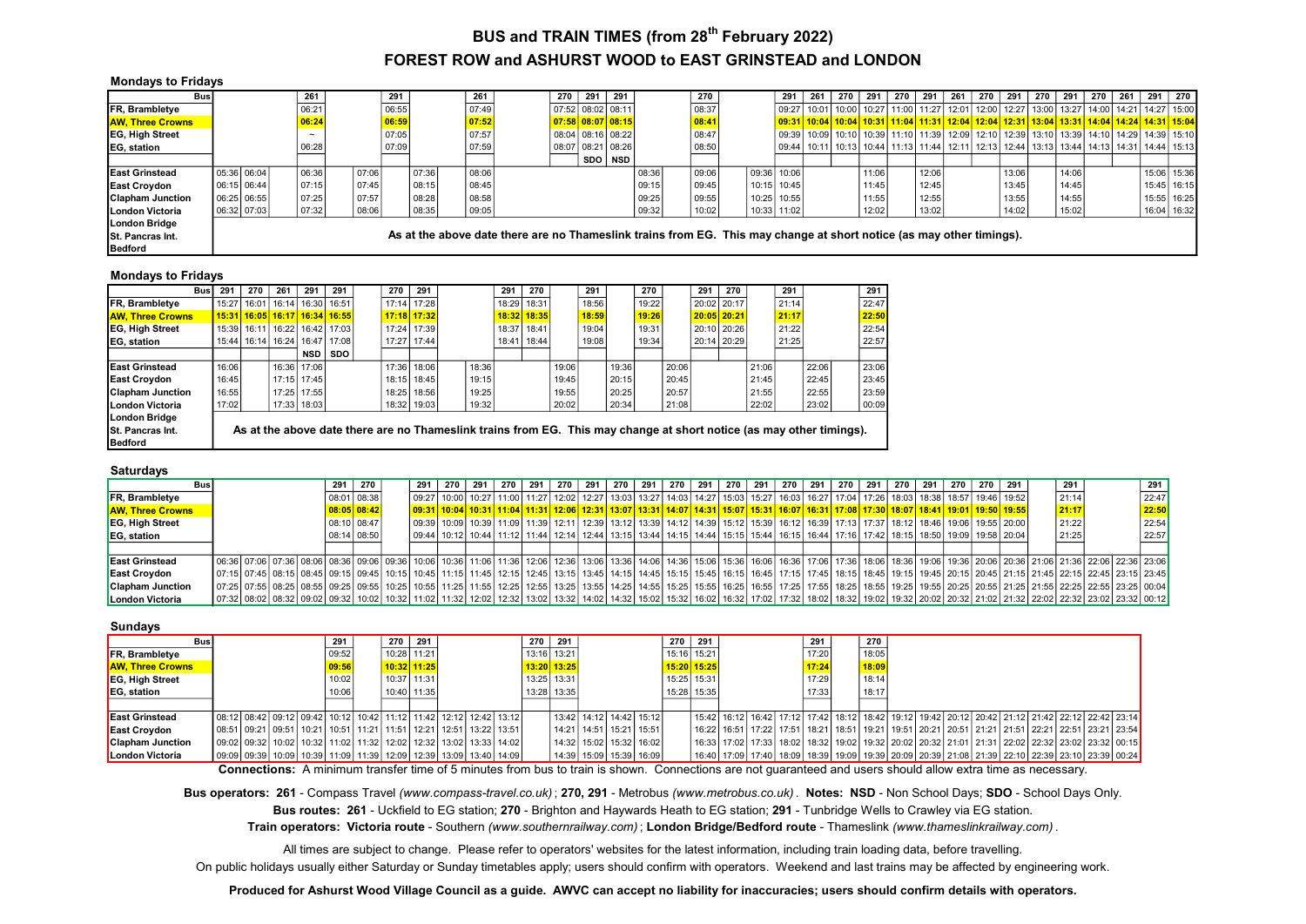## FOREST ROW and ASHURST WOOD to EAST GRINSTEAD and LONDON BUS and TRAIN TIMES (from 28<sup>th</sup> February 2022)

| <b>Mondays to Fridays</b> |               |             |       |       |       |       |                                                                                                                      |     |                   |                     |       |       |  |             |     |       |       |     |       |     |     |                                                                                                                       |     |       |     |     |             |
|---------------------------|---------------|-------------|-------|-------|-------|-------|----------------------------------------------------------------------------------------------------------------------|-----|-------------------|---------------------|-------|-------|--|-------------|-----|-------|-------|-----|-------|-----|-----|-----------------------------------------------------------------------------------------------------------------------|-----|-------|-----|-----|-------------|
| Busl                      |               |             | 261   |       | 291   |       | 261                                                                                                                  | 270 | 291               | 291                 |       | 270   |  | 291         | 261 | 270 l | 291   | 270 | 291   | 261 | 270 | 291                                                                                                                   | 270 | 291   | 270 | 261 | 291 270     |
| FR, Brambletye            |               |             | 06:21 |       | 06:55 |       | 07:49                                                                                                                |     | 07:52 08:02 08:11 |                     |       | 08:37 |  |             |     |       |       |     |       |     |     | 09:27   10:01   10:00   10:27   11:00   11:27   12:01   12:00   12:27   13:00   13:27   14:00   14:21   14:27   15:00 |     |       |     |     |             |
| <b>JAW. Three Crowns</b>  |               |             | 06:24 |       | 06:59 |       | 07:52                                                                                                                |     |                   | $07:58$ 08:07 08:15 |       | 08:41 |  |             |     |       |       |     |       |     |     | 09:31 10:04 10:04 10:31 11:04 11:31 12:04 12:04 12:31 13:04 13:31 14:04 14:24 14:31 15:04                             |     |       |     |     |             |
| <b>EG, High Street</b>    |               |             |       |       | 07:05 |       | 07:57                                                                                                                |     |                   | 08:04 08:16 08:22   |       | 08:47 |  |             |     |       |       |     |       |     |     | 09:39   10:09   10:10   10:39   11:10   11:39   12:09   12:10   12:39   13:10   13:39   14:10   14:29   14:39   15:10 |     |       |     |     |             |
| EG, station               |               |             | 06:28 |       | 07:09 |       | 07:59                                                                                                                |     |                   | 08:07 08:21 08:26   |       | 08:50 |  |             |     |       |       |     |       |     |     | 09:44   10:11   10:13   10:44   11:13   11:44   12:11   12:13   12:44   13:13   13:44   14:13   14:31   14:44   15:13 |     |       |     |     |             |
|                           |               |             |       |       |       |       |                                                                                                                      |     |                   | SDO NSD             |       |       |  |             |     |       |       |     |       |     |     |                                                                                                                       |     |       |     |     |             |
| <b>IEast Grinstead</b>    | 05:36 06:04   |             | 06:36 | 07:06 |       | 07:36 | 08:06                                                                                                                |     |                   |                     | 08:36 | 09:06 |  | 09:36 10:06 |     |       | 11:06 |     | 12:06 |     |     | 13:06                                                                                                                 |     | 14:06 |     |     | 15:06 15:36 |
| <b>East Croydon</b>       | $06:15$ 06:44 |             | 07:15 | 07:45 |       | 08:15 | 08:45                                                                                                                |     |                   |                     | 09:15 | 09:45 |  | 10:15 10:45 |     |       | 11:45 |     | 12:45 |     |     | 13:45                                                                                                                 |     | 14:45 |     |     | 15:45 16:15 |
| <b>IClapham Junction</b>  | 06:25 06:55   |             | 07:25 | 07:57 |       | 08:28 | 08:58                                                                                                                |     |                   |                     | 09:25 | 09:55 |  | 10:25 10:55 |     |       | 11:55 |     | 12:55 |     |     | 13:55                                                                                                                 |     | 14:55 |     |     | 15:55 16:25 |
| London Victoria           |               | 06:32 07:03 | 07:32 | 08:06 |       | 08:35 | 09:05                                                                                                                |     |                   |                     | 09:32 | 10:02 |  | 10:33 11:02 |     |       | 12:02 |     | 13:02 |     |     | 14:02                                                                                                                 |     | 15:02 |     |     | 16:04 16:32 |
| London Bridge             |               |             |       |       |       |       |                                                                                                                      |     |                   |                     |       |       |  |             |     |       |       |     |       |     |     |                                                                                                                       |     |       |     |     |             |
| <b>ISt. Pancras Int.</b>  |               |             |       |       |       |       | As at the above date there are no Thameslink trains from EG. This may change at short notice (as may other timings). |     |                   |                     |       |       |  |             |     |       |       |     |       |     |     |                                                                                                                       |     |       |     |     |             |
| Bedford                   |               |             |       |       |       |       |                                                                                                                      |     |                   |                     |       |       |  |             |     |       |       |     |       |     |     |                                                                                                                       |     |       |     |     |             |

### Mondays to Fridays

| <b>Bus</b>              | 291   | 270   | 261                   | 291           | 291                                      | 270   | 291           |                                                                                                                      | 291   | 270         |       | 291   |       | 270   |       | 291 | 270         |       | 291   |       | 291   |
|-------------------------|-------|-------|-----------------------|---------------|------------------------------------------|-------|---------------|----------------------------------------------------------------------------------------------------------------------|-------|-------------|-------|-------|-------|-------|-------|-----|-------------|-------|-------|-------|-------|
| FR, Brambletye          | 15:27 | 16:01 |                       | 16:14   16:30 | 16:51                                    | 17:14 | 17:28         |                                                                                                                      | 18:29 | 18:31       |       | 18:56 |       | 19:22 |       |     | 20:02 20:17 |       | 21:14 |       | 22:47 |
| <b>AW. Three Crowns</b> | 15:31 |       |                       |               | <u>  16:05   16:17   16:34   16:55  </u> |       | $17:18$ 17:32 |                                                                                                                      |       | 18:32 18:35 |       | 18:59 |       | 19:26 |       |     | 20:05 20:21 |       | 21:17 |       | 22:50 |
| <b>EG, High Street</b>  | 15:39 | 16:11 |                       |               | 16:22   16:42   17:03                    | 17:24 | 17:39         |                                                                                                                      | 18:37 | 18:41       |       | 19:04 |       | 19:31 |       |     | 20:10 20:26 |       | 21:22 |       | 22:54 |
| <b>EG.</b> station      | 15:44 |       | 16:14   16:24   16:47 |               | 17:08                                    | 17:27 | 17:44         |                                                                                                                      | 18:41 | 18:44       |       | 19:08 |       | 19:34 |       |     | 20:14 20:29 |       | 21:25 |       | 22:57 |
|                         |       |       |                       | <b>NSD</b>    | <b>SDO</b>                               |       |               |                                                                                                                      |       |             |       |       |       |       |       |     |             |       |       |       |       |
| <b>East Grinstead</b>   | 16:06 |       |                       | 16:36 17:06   |                                          | 17:36 | 18:06         | 18:36                                                                                                                |       |             | 19:06 |       | 19:36 |       | 20:06 |     |             | 21:06 |       | 22:06 | 23:06 |
| <b>East Croydon</b>     | 16:45 |       |                       | 17:15 17:45   |                                          | 18:15 | 18:45         | 19:15                                                                                                                |       |             | 19:45 |       | 20:15 |       | 20:45 |     |             | 21:45 |       | 22:45 | 23:45 |
| <b>Clapham Junction</b> | 16:55 |       |                       | 17:25 17:55   |                                          | 18:25 | 18:56         | 19:25                                                                                                                |       |             | 19:55 |       | 20:25 |       | 20:57 |     |             | 21:55 |       | 22:55 | 23:59 |
| London Victoria         | 17:02 |       |                       | 17:33 18:03   |                                          | 18:32 | 19:03         | 19:32                                                                                                                |       |             | 20:02 |       | 20:34 |       | 21:08 |     |             | 22:02 |       | 23:02 | 00:09 |
| <b>London Bridge</b>    |       |       |                       |               |                                          |       |               |                                                                                                                      |       |             |       |       |       |       |       |     |             |       |       |       |       |
| St. Pancras Int.        |       |       |                       |               |                                          |       |               | As at the above date there are no Thameslink trains from EG. This may change at short notice (as may other timings). |       |             |       |       |       |       |       |     |             |       |       |       |       |
| <b>Bedford</b>          |       |       |                       |               |                                          |       |               |                                                                                                                      |       |             |       |       |       |       |       |     |             |       |       |       |       |

#### Saturdays

| <b>Bus</b>              |                                                                                                                                                                                                                                 |  | 291 | 270           | 291 | 270 | 291 | 270 | 291 | 270 | 291 | 270 l | 291 l | 270 I | 291 l | 270 I | 291 I | 270   291 | 270 I                                                                                                                                                                                                                        | 291 | 270 I | - 291 | 270 | 270 | $\vert$ 291 | 291   |  | 291   |
|-------------------------|---------------------------------------------------------------------------------------------------------------------------------------------------------------------------------------------------------------------------------|--|-----|---------------|-----|-----|-----|-----|-----|-----|-----|-------|-------|-------|-------|-------|-------|-----------|------------------------------------------------------------------------------------------------------------------------------------------------------------------------------------------------------------------------------|-----|-------|-------|-----|-----|-------------|-------|--|-------|
| <b>FR, Brambletye</b>   |                                                                                                                                                                                                                                 |  |     | 08:01 08:38   |     |     |     |     |     |     |     |       |       |       |       |       |       |           | 09:27   10:00   10:27   11:00   11:27   12:02   12:27   13:03   13:27   14:03   14:27   15:03   15:27   16:03   16:27   17:04   17:26   18:03   18:38   18:57   19:46   19:52   18:03   18:38   18:57   19:46   19:52        |     |       |       |     |     |             | 21:14 |  | 22:47 |
| <b>AW. Three Crowns</b> |                                                                                                                                                                                                                                 |  |     | $08:05$ 08:42 |     |     |     |     |     |     |     |       |       |       |       |       |       |           | <u>  09:31   10:04   10:31   11:04   11:31   12:06   12:31   13:07   13:31   14:07   14:31   15:07   15:31   16:07   16:31   17:08   17:30   17:30   18:07   18:41   19:01   19:55   19:55  </u>                             |     |       |       |     |     |             | 21:17 |  | 22:50 |
| <b>EG, High Street</b>  |                                                                                                                                                                                                                                 |  |     | 08:10 08:47   |     |     |     |     |     |     |     |       |       |       |       |       |       |           | 09:39  10:09  10:39  11:09  11:39  12:11  12:39  13:12  13:39  14:12  14:39  15:12  15:39  16:12  16:39  17:13  17:37  18:12  18:46  19:06  19:55  20:00                                                                     |     |       |       |     |     |             | 21:22 |  | 22:54 |
| <b>EG, station</b>      |                                                                                                                                                                                                                                 |  |     | 08:14 08:50   |     |     |     |     |     |     |     |       |       |       |       |       |       |           | 0.04   10:12   10:44   11:12   11:44   12:14   12:44   13:15   13:44   14:15   14:44   15:15   15:44   16:15   16:44   17:16   17:42   18:15   18:50   19:09   19:58   20:04   17:42   18:15   18:50   19:09   19:58   20:04 |     |       |       |     |     |             | 21:25 |  | 22:57 |
|                         |                                                                                                                                                                                                                                 |  |     |               |     |     |     |     |     |     |     |       |       |       |       |       |       |           |                                                                                                                                                                                                                              |     |       |       |     |     |             |       |  |       |
| <b>East Grinstead</b>   | 106:36 07:06 07:36 08:06 08:36 09:06 09:36 10:06 10:06 10:06 11:06 11:06 12:06 12:06 12:36 13:06 13:36 14:06 14:36 15:06 15:36 16:06 16:36 17:06 17:36 17:06 16:36 17:06 17:36 18:06 16:36 17:06 20:06 17:36 18:06 18:36 17:06  |  |     |               |     |     |     |     |     |     |     |       |       |       |       |       |       |           |                                                                                                                                                                                                                              |     |       |       |     |     |             |       |  |       |
| <b>East Croydon</b>     | 03:45 22:45 08:45 08:45 08:45 09:45 09:45 10:45 11:15 11:45 12:15 12:45 13:15 12:45 13:15 13:45 14:15 13:45 15:15 14:45 15:15 14:45 15:15 16:45 15:15 12:45 17:15 17:45 17:45 17:45 18:15 18:45 17:15 17:45 18:15 18:45 17:15 1 |  |     |               |     |     |     |     |     |     |     |       |       |       |       |       |       |           |                                                                                                                                                                                                                              |     |       |       |     |     |             |       |  |       |
| <b>Clapham Junction</b> | 0.01 [07:25   07:25   08:25   08:25   08:25   08:25   09:25   09:25   10:25   10:25   11:25   11:25   11:25   12:25   12:25   12:25   12:35   12:35   12:35   12:35   12:35   12:35   12:55   14:25   14:25   15:55   15:25   1 |  |     |               |     |     |     |     |     |     |     |       |       |       |       |       |       |           |                                                                                                                                                                                                                              |     |       |       |     |     |             |       |  |       |
| London Victoria         | 07:32 08:32 08:32 09:02 08:32 09:02 09:32 10:02 10:32 11:02 11:32 12:02 12:32 13:02 13:32 14:02 14:32 15:02 15:32 16:02 16:32 17:02 17:32 17:32 18:02 18:32 19:02 21:32 21:02 21:32 21:02 21:32 22:02 22:32 23:02 23:32 00:12   |  |     |               |     |     |     |     |     |     |     |       |       |       |       |       |       |           |                                                                                                                                                                                                                              |     |       |       |     |     |             |       |  |       |

### Sundays

| <b>Bus</b>              |  |  | 291   | 270 L | 291           |                                                                                   | 270           | 291         |  |                         | 270         | 291 |  | 291   | 270   |  |  |                                                                                                                               |  |  |
|-------------------------|--|--|-------|-------|---------------|-----------------------------------------------------------------------------------|---------------|-------------|--|-------------------------|-------------|-----|--|-------|-------|--|--|-------------------------------------------------------------------------------------------------------------------------------|--|--|
| <b>FR, Brambletye</b>   |  |  | 09:52 |       | 10:28 11:21   |                                                                                   |               | 13:16 13:21 |  |                         | 15:16 15:21 |     |  | 17:20 | 18:05 |  |  |                                                                                                                               |  |  |
| <b>AW. Three Crowns</b> |  |  | 09:56 |       | $10:32$ 11:25 |                                                                                   | $13:20$ 13:25 |             |  |                         | 15:20 15:25 |     |  | 17:24 | 18:09 |  |  |                                                                                                                               |  |  |
| <b>EG. High Street</b>  |  |  | 10:02 |       | 10:37 11:31   |                                                                                   |               | 13:25 13:31 |  |                         | 15:25 15:31 |     |  | 17:29 | 18:14 |  |  |                                                                                                                               |  |  |
| <b>EG.</b> station      |  |  | 10:06 |       | 10:40 11:35   |                                                                                   |               | 13:28 13:35 |  |                         | 15:28 15:35 |     |  | 17:33 | 18:17 |  |  |                                                                                                                               |  |  |
|                         |  |  |       |       |               |                                                                                   |               |             |  |                         |             |     |  |       |       |  |  |                                                                                                                               |  |  |
| <b>East Grinstead</b>   |  |  |       |       |               | 08:12 08:42 09:12 09:42 10:12 10:42 11:12 11:42 12:12 12:42 13:12                 |               |             |  | 13:42 14:12 14:42 15:12 |             |     |  |       |       |  |  | 15:42   16:12   16:42   17:12   17:42   18:12   18:42   19:12   19:42   20:12   20:42   21:12   21:42   22:12   22:42   23:14 |  |  |
| <b>East Croydon</b>     |  |  |       |       |               | 08:51 09:21 09:51 10:21 10:51 11:21 11:51 12:21 12:51 13:22 13:51                 |               |             |  | 14:21 14:51 15:21 15:51 |             |     |  |       |       |  |  | 16:22   16:51   17:22   17:51   18:21   18:51   19:21   19:51   20:21   20:51   21:21   21:51   22:21   23:21   23:21   23:54 |  |  |
| <b>Clapham Junction</b> |  |  |       |       |               | 09:02 09:32 10:02 10:32 11:02 11:32 12:02 12:32 13:02 13:33 14:02 1               |               |             |  | 14:32 15:02 15:32 16:02 |             |     |  |       |       |  |  | 16:33 17:02 17:33 18:02 18:32 19:02 19:32 20:02 20:32 21:01 21:31 22:02 22:32 23:02 23:32 00:15                               |  |  |
| London Victoria         |  |  |       |       |               | 09:09 09:39 10:09   10:39   11:09   11:39   12:09   12:39   13:09   13:40   14:09 |               |             |  | 14:39 15:09 15:39 16:09 |             |     |  |       |       |  |  | 16:40 17:09 17:40 18:09 18:39 19:09 19:39 20:09 20:39 21:08 21:39 22:10 22:39 23:10 23:39 00:24                               |  |  |

Connections: A minimum transfer time of 5 minutes from bus to train is shown. Connections are not guaranteed and users should allow extra time as necessary.

Bus operators: 261 - Compass Travel (www.compass-travel.co.uk); 270, 291 - Metrobus (www.metrobus.co.uk) . Notes: NSD - Non School Days; SDO - School Days Only.

Bus routes: 261 - Uckfield to EG station; 270 - Brighton and Haywards Heath to EG station; 291 - Tunbridge Wells to Crawley via EG station.

Train operators: Victoria route - Southern (www.southernrailway.com); London Bridge/Bedford route - Thameslink (www.thameslinkrailway.com).

All times are subject to change. Please refer to operators' websites for the latest information, including train loading data, before travelling.

On public holidays usually either Saturday or Sunday timetables apply; users should confirm with operators. Weekend and last trains may be affected by engineering work.

Produced for Ashurst Wood Village Council as a guide. AWVC can accept no liability for inaccuracies; users should confirm details with operators.